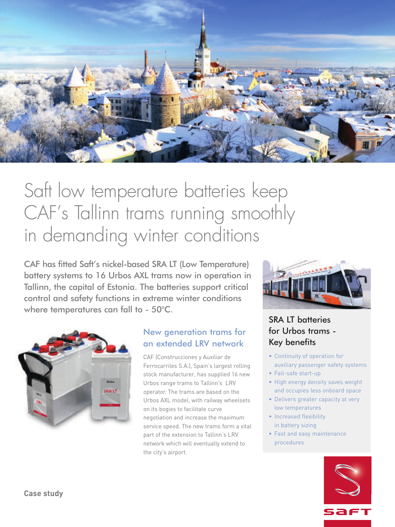

# Saft low temperature batteries keep CAF' s Tallinn trams running smoothly in demanding winter conditions

CAF has fitted Saft's nickel-based SRA LT (Low Temperature) battery systems to 16 Urbos AXL trams now in operation in Tallinn, the capital of Estonia. The batteries support critical control and safety functions in extreme winter conditions where temperatures can fall to - 50°C.



#### New generation trams for an extended LRV network

CAF (Construcciones y Auxiliar de Ferrocarriles S.A.), Spain's largest rolling stock manufacturer, has supplied 16 new Urbos range trams to Tallinn's LRV operator. The trams are based on the Urbos AXL model, with railway wheelsets on its bogies to facilitate curve negotiation and increase the maximum service speed. The new trams form a vital part of the extension to Tallinn's LRV network which will eventually extend to the city's airport.



# SRA LT batteries for Urbos trams - Key benefits

- Continuity of operation for auxiliary passenger safety systems
- Fail-safe start-up
- High energy density saves weight and occupies less onboard space
- Delivers greater capacity at very low temperatures
- Increased flexibility in battery sizing
- Fast and easy maintenance procedures